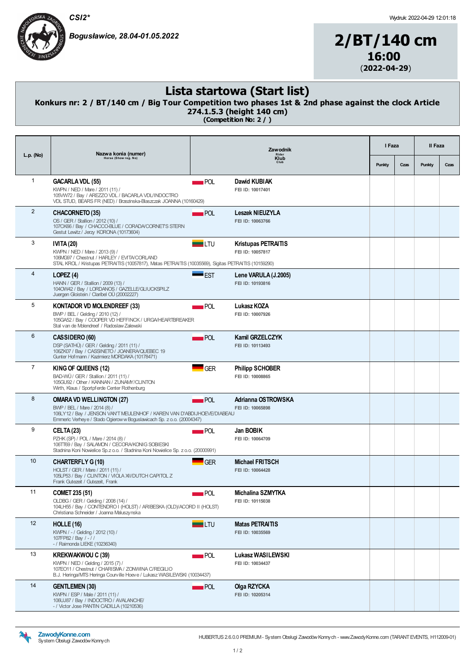CSI2\*

Bogusławice, 28.04-01.05.2022

## 2/BT/140 cm 16:00 (2022-04-29)

## Lista startowa (Start list)

## Konkurs nr: 2 / BT/140 cm / Big Tour Competition two phases 1st & 2nd phase against the clock Article 274.1.5.3 (height 140 cm)

(Competition No: 2 / )

| $L.p.$ (No)    | Nazwa konia (numer)<br>Horse (Show reg. No)                                                                                                                                                                           | Zawodnik              | I Faza                                         |        | II Faza |        |      |
|----------------|-----------------------------------------------------------------------------------------------------------------------------------------------------------------------------------------------------------------------|-----------------------|------------------------------------------------|--------|---------|--------|------|
|                |                                                                                                                                                                                                                       | Rider<br>Klub<br>Club |                                                | Punkty | Czas    | Punkty | Czas |
| $\mathbf{1}$   | <b>GACARLA VDL (55)</b><br>KWPN / NED / Mare / 2011 (11) /<br>105VW72 / Bay / AREZZO VDL / BACARLA VDL/INDOCTRO<br>VDL STUD, BEARS FR (NED) / Brzezinska-Blaszczak JOANNA (10160429)                                  | POL                   | Dawid KUBIAK<br>FEI ID: 10017401               |        |         |        |      |
| $\overline{2}$ | CHACORNETO (35)<br>OS / GER / Stallion / 2012 (10) /<br>107CK66 / Bay / CHACCO-BLUE / CORADA/CORNETS STERN<br>Gestut Lewitz / Jerzy KORONA (10173604)                                                                 | $\blacksquare$ POL    | <b>Leszek NIEUZYLA</b><br>FEI ID: 10063766     |        |         |        |      |
| 3              | <b>IVITA (20)</b><br>KWPN / NED / Mare / 2013 (9) /<br>106MG97 / Chestnut / HARLEY / EVITA/CORLAND<br>STAL KROL / Kristupas PETRAITIS (10057817), Matas PETRAITIS (10035569), Sigitas PETRAITIS (10159290)            | $\blacksquare$ LTU    | <b>Kristupas PETRAITIS</b><br>FEI ID: 10057817 |        |         |        |      |
| $\overline{4}$ | LOPEZ(4)<br>HANN / GER / Stallion / 2009 (13) /<br>1040W42 / Bay / LORDANOS / GAZELLE/GLIUCKSPILZ<br>Juergen Gloistein / Claribel OÜ (20002227)                                                                       | <b>EST</b>            | Lene VARULA (J.2005)<br>FEI ID: 10193816       |        |         |        |      |
| 5              | <b>KONTADOR VD MOLENDREEF (33)</b><br>BWP / BEL / Gelding / 2010 (12) /<br>105GA52 / Bay / COOPER VD HEFFINCK / URGA/HEARTBREAKER<br>Stal van de Molendreef / Radoslaw Zalewski                                       | POL                   | Lukasz KOZA<br>FEI ID: 10007926                |        |         |        |      |
| 6              | CASSIDERO (60)<br>DSP (SATHÜ) / GER / Gelding / 2011 (11) /<br>106ZK07 / Bay / CASSINETO / JOANERA/QUEBEC 19<br>Gunter Hofmann / Kazimierz MORDAKA (10178471)                                                         | $\blacksquare$ POL    | Kamil GRZELCZYK<br>FEI ID: 10113493            |        |         |        |      |
| $\overline{7}$ | KING OF QUEENS (12)<br>BAD-WÜ / GER / Stallion / 2011 (11) /<br>105GU92 / Other / KANNAN / ZUNAMY/CLINTON<br>Wirth, Klaus / Sportpferde Center Rothenburg                                                             | GER                   | <b>Philipp SCHOBER</b><br>FEI ID: 10008865     |        |         |        |      |
| 8              | <b>OMARA VD WELLINGTON (27)</b><br>BWP / BEL / Mare / 2014 (8) /<br>106LY12 / Bay / JENSON VAN'T MEULENHOF / KAREN VAN D'ABDIJHOEVE/DIABEAU<br>Emmeric Verhey e / Stado Ogierow w Boguslawicach Sp. z o.o. (20004347) | POL                   | Adrianna OSTROWSKA<br>FEI ID: 10065898         |        |         |        |      |
| 9              | CELTA (23)<br>PZHK (SP) / POL / Mare / 2014 (8) /<br>106TT69 / Bay / SALAMON / CECORA/KONIG SOBIESKI<br>Stadnina Koni Nowielice Sp.z o.o. / Stadnina Koni Nowielice Sp. z o.o. (20000991)                             | $\blacksquare$ POL    | Jan BOBIK<br>FEI ID: 10064709                  |        |         |        |      |
| 10             | <b>CHARTERFLY G (10)</b><br>HOLST / GER / Mare / 2011 (11) /<br>105LP53 / Bay / CLINTON / VIOLA XI/DUTCH CAPITOL Z<br>Frank Gutezeit / Gutezeit, Frank                                                                | GER                   | <b>Michael FRITSCH</b><br>FEI ID: 10064428     |        |         |        |      |
| 11             | <b>COMET 235 (51)</b><br>OLDBG / GER / Gelding / 2008 (14) /<br>104LH55 / Bay / CONTENDRO I (HOLST) / ARIBESKA (OLD)/ACORD II (HOLST)<br>Christiana Schneider / Joanna Maluszynska                                    | POL                   | Michalina SZMYTKA<br>FEI ID: 10115038          |        |         |        |      |
| 12             | <b>HOLLE</b> (16)<br>KWPN / - / Gelding / 2012 (10) /<br>107FP82 / Bay / - / /<br>- / Raimonda LIEKE (10236340)                                                                                                       | $\blacksquare$ LTU    | <b>Matas PETRAITIS</b><br>FEI ID: 10035569     |        |         |        |      |
| 13             | <b>KREKWAKWOU C (39)</b><br>KWPN / NED / Gelding / 2015 (7) /<br>107EO11 / Chestnut / CHARISMA / ZONWINA C/REGILIO<br>B.J. Heringa/MTS Heringa Courville Hoeve / Lukasz WASILEWSKI (10034437)                         | $\blacksquare$ POL    | Lukasz WASILEWSKI<br>FEI ID: 10034437          |        |         |        |      |
| 14             | <b>GENTLEMEN (30)</b><br>KWPN / ESP / Male / 2011 (11) /<br>106UJ87 / Bay / INDOCTRO / AVALANCHE/<br>- / Victor Jose PANTIN CADILLA (10210536)                                                                        | POL                   | Olga RZYCKA<br>FEI ID: 10205314                |        |         |        |      |



HUBERTUS 2.6.0.0 PREMUM- System Obsługi Zawodów Konnych - www.Zawody Konne.com (TARANT EVENTS, H112009-01)